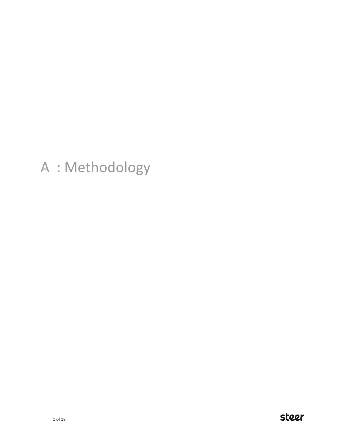# A : Methodology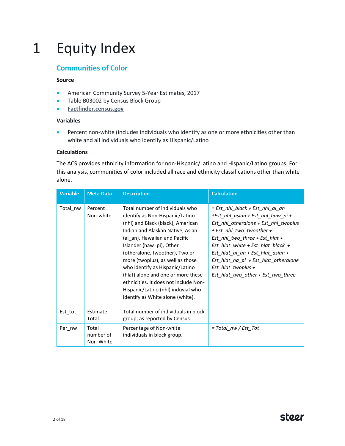# 1 Equity Index

# **Communities of Color**

## **Source**

- American Community Survey 5-Year Estimates, 2017
- Table B03002 by Census Block Group
- **[Factfinder.census.gov](https://factfinder.census.gov/faces/tableservices/jsf/pages/productview.xhtml?pid=ACS_17_5YR_B03002&prodType=table)**

## **Variables**

• Percent non-white (includes individuals who identify as one or more ethnicities other than white and all individuals who identify as Hispanic/Latino

## **Calculations**

The ACS provides ethnicity information for non-Hispanic/Latino and Hispanic/Latino groups. For this analysis, communities of color included all race and ethnicity classifications other than white alone.

| <b>Variable</b> | <b>Meta Data</b>                | <b>Description</b>                                                                                                                                                                                                                                                                                                                                                                                                                                                         | <b>Calculation</b>                                                                                                                                                                                                                                                                                                                                       |
|-----------------|---------------------------------|----------------------------------------------------------------------------------------------------------------------------------------------------------------------------------------------------------------------------------------------------------------------------------------------------------------------------------------------------------------------------------------------------------------------------------------------------------------------------|----------------------------------------------------------------------------------------------------------------------------------------------------------------------------------------------------------------------------------------------------------------------------------------------------------------------------------------------------------|
| Total nw        | Percent<br>Non-white            | Total number of individuals who<br>identify as Non-Hispanic/Latino<br>(nhl) and Black (black), American<br>Indian and Alaskan Native, Asian<br>(ai an), Hawaiian and Pacific<br>Islander (haw pi), Other<br>(otheralone, twoother), Two or<br>more (twoplus), as well as those<br>who identify as Hispanic/Latino<br>(hlat) alone and one or more these<br>ethnicities. It does not include Non-<br>Hispanic/Latino (nhl) induvial who<br>identify as White alone (white). | = Est nhl black + Est nhl ai an<br>+Est_nhl_asian + Est_nhl_haw_pi +<br>Est nhl otheralone + Est nhl twoplus<br>+ Est_nhl_two_twoother +<br>Est nhl two three + Est hlat +<br>Est hlat white + Est hlat black +<br>Est_hlat_ai_an + Est_hlat_asian +<br>Est_hlat_na_pi + Est_hlat_otheralone<br>Est hlat twoplus +<br>Est_hlat_two_other + Est_two_three |
| Est tot         | Estimate<br>Total               | Total number of individuals in block<br>group, as reported by Census.                                                                                                                                                                                                                                                                                                                                                                                                      |                                                                                                                                                                                                                                                                                                                                                          |
| Per nw          | Total<br>number of<br>Non-White | Percentage of Non-white<br>individuals in block group.                                                                                                                                                                                                                                                                                                                                                                                                                     | $= Total\, nw/Est\, Tot$                                                                                                                                                                                                                                                                                                                                 |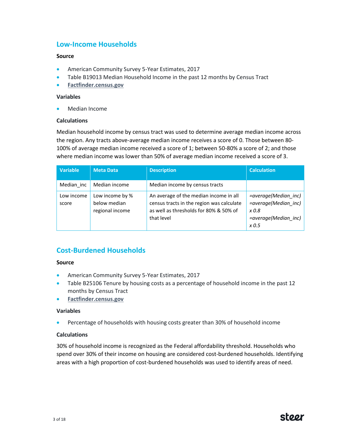# **Low-Income Households**

### **Source**

- American Community Survey 5-Year Estimates, 2017
- Table B19013 Median Household Income in the past 12 months by Census Tract
- **[Factfinder.census.gov](https://factfinder.census.gov/faces/tableservices/jsf/pages/productview.xhtml?pid=ACS_17_5YR_B03002&prodType=table)**

#### **Variables**

• Median Income

### **Calculations**

Median household income by census tract was used to determine average median income across the region. Any tracts above-average median income receives a score of 0. Those between 80- 100% of average median income received a score of 1; between 50-80% a score of 2; and those where median income was lower than 50% of average median income received a score of 3.

| <b>Variable</b>     | <b>Meta Data</b>                                   | <b>Description</b>                                                                                                                          | <b>Calculation</b>                                                                     |
|---------------------|----------------------------------------------------|---------------------------------------------------------------------------------------------------------------------------------------------|----------------------------------------------------------------------------------------|
| Median inc          | Median income                                      | Median income by census tracts                                                                                                              |                                                                                        |
| Low income<br>score | Low income by %<br>below median<br>regional income | An average of the median income in all<br>census tracts in the region was calculate<br>as well as thresholds for 80% & 50% of<br>that level | =average(Median inc)<br>=average(Median inc)<br>x 0.8<br>=average(Median inc)<br>x 0.5 |

# **Cost-Burdened Households**

#### **Source**

- American Community Survey 5-Year Estimates, 2017
- Table B25106 Tenure by housing costs as a percentage of household income in the past 12 months by Census Tract
- **[Factfinder.census.gov](https://factfinder.census.gov/faces/tableservices/jsf/pages/productview.xhtml?pid=ACS_17_5YR_B03002&prodType=table)**

#### **Variables**

• Percentage of households with housing costs greater than 30% of household income

#### **Calculations**

30% of household income is recognized as the Federal affordability threshold. Households who spend over 30% of their income on housing are considered cost-burdened households. Identifying areas with a high proportion of cost-burdened households was used to identify areas of need.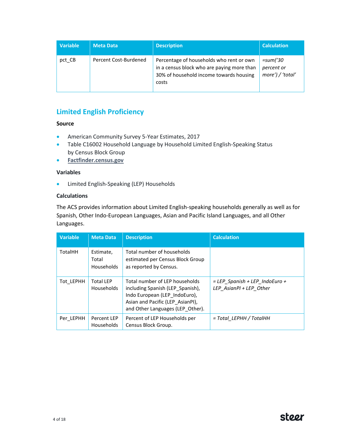| <b>Variable</b> | <b>Meta Data</b>      | <b>Description</b>                                                                                                                         | <b>Calculation</b>                                |
|-----------------|-----------------------|--------------------------------------------------------------------------------------------------------------------------------------------|---------------------------------------------------|
| pct CB          | Percent Cost-Burdened | Percentage of households who rent or own<br>in a census block who are paying more than<br>30% of household income towards housing<br>costs | <i>=sum('30</i><br>percent or<br>more') / 'total' |

# **Limited English Proficiency**

## **Source**

- American Community Survey 5-Year Estimates, 2017
- Table C16002 Household Language by Household Limited English-Speaking Status by Census Block Group
- **[Factfinder.census.gov](https://factfinder.census.gov/faces/tableservices/jsf/pages/productview.xhtml?pid=ACS_17_5YR_B03002&prodType=table)**

# **Variables**

• Limited English-Speaking (LEP) Households

## **Calculations**

The ACS provides information about Limited English-speaking households generally as well as for Spanish, Other Indo-European Languages, Asian and Pacific Island Languages, and all Other Languages.

| <b>Variable</b> | <b>Meta Data</b>                 | <b>Description</b>                                                                                                                                                          | <b>Calculation</b>                                          |
|-----------------|----------------------------------|-----------------------------------------------------------------------------------------------------------------------------------------------------------------------------|-------------------------------------------------------------|
| <b>TotalHH</b>  | Estimate,<br>Total<br>Households | Total number of households<br>estimated per Census Block Group<br>as reported by Census.                                                                                    |                                                             |
| Tot LEPHH       | <b>Total LEP</b><br>Households   | Total number of LEP households<br>including Spanish (LEP Spanish),<br>Indo European (LEP IndoEuro),<br>Asian and Pacific (LEP AsianPI),<br>and Other Languages (LEP Other). | $= LEP$ Spanish + LEP IndoEuro +<br>LEP AsianPI + LEP Other |
| Per LEPHH       | Percent LEP<br>Households        | Percent of LEP Households per<br>Census Block Group.                                                                                                                        | = Total LEPHH / TotalHH                                     |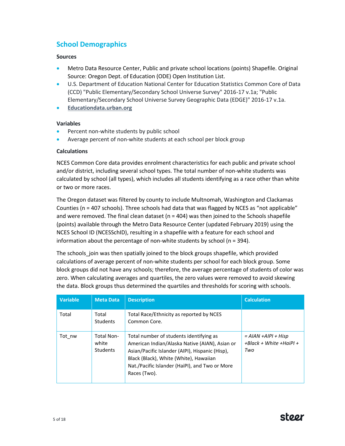# **School Demographics**

# **Sources**

- Metro Data Resource Center, Public and private school locations (points) Shapefile. Original Source: Oregon Dept. of Education (ODE) Open Institution List.
- U.S. Department of Education National Center for Education Statistics Common Core of Data (CCD) "Public Elementary/Secondary School Universe Survey" 2016-17 v.1a; "Public Elementary/Secondary School Universe Survey Geographic Data (EDGE)" 2016-17 v.1a.
- **[Educationdata.urban.org](file://///sdgworld.net/Data/Los_Angeles/Projects/233/0/34/03/Work/Task%201%20Needs%20Assessment/Methodology/educationdata.urban.org)**

# **Variables**

- Percent non-white students by public school
- Average percent of non-white students at each school per block group

# **Calculations**

NCES Common Core data provides enrolment characteristics for each public and private school and/or district, including several school types. The total number of non-white students was calculated by school (all types), which includes all students identifying as a race other than white or two or more races.

The Oregon dataset was filtered by county to include Multnomah, Washington and Clackamas Counties (n = 407 schools). Three schools had data that was flagged by NCES as "not applicable" and were removed. The final clean dataset ( $n = 404$ ) was then joined to the Schools shapefile (points) available through the Metro Data Resource Center (updated February 2019) using the NCES School ID (NCESSchID), resulting in a shapefile with a feature for each school and information about the percentage of non-white students by school (n = 394).

The schools join was then spatially joined to the block groups shapefile, which provided calculations of average percent of non-white students per school for each block group. Some block groups did not have any schools; therefore, the average percentage of students of color was zero. When calculating averages and quartiles, the zero values were removed to avoid skewing the data. Block groups thus determined the quartiles and thresholds for scoring with schools.

| <b>Variable</b> | <b>Meta Data</b>                              | <b>Description</b>                                                                                                                                                                                                                                       | <b>Calculation</b>                                          |
|-----------------|-----------------------------------------------|----------------------------------------------------------------------------------------------------------------------------------------------------------------------------------------------------------------------------------------------------------|-------------------------------------------------------------|
| Total           | Total<br><b>Students</b>                      | Total Race/Ethnicity as reported by NCES<br>Common Core.                                                                                                                                                                                                 |                                                             |
| Tot nw          | <b>Total Non-</b><br>white<br><b>Students</b> | Total number of students identifying as<br>American Indian/Alaska Native (AIAN), Asian or<br>Asian/Pacific Islander (AIPI), Hispanic (Hisp),<br>Black (Black), White (White), Hawaiian<br>Nat./Pacific Islander (HaiPI), and Two or More<br>Races (Two). | $= AIAN + AIPI + Hisp$<br>$+Black + White + HaiPI +$<br>Two |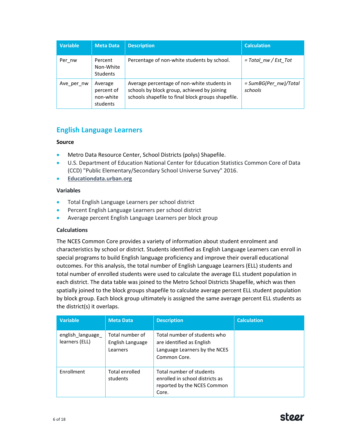| <b>Variable</b> | <b>Meta Data</b>                               | <b>Description</b>                                                                                                                               | <b>Calculation</b>                |
|-----------------|------------------------------------------------|--------------------------------------------------------------------------------------------------------------------------------------------------|-----------------------------------|
| Per nw          | Percent<br>Non-White<br><b>Students</b>        | Percentage of non-white students by school.                                                                                                      | $= Total\, nw/Est\, Tot$          |
| Ave per nw      | Average<br>percent of<br>non-white<br>students | Average percentage of non-white students in<br>schools by block group, achieved by joining<br>schools shapefile to final block groups shapefile. | $= SumBG(Pernw)/Total$<br>schools |

# **English Language Learners**

# **Source**

- Metro Data Resource Center, School Districts (polys) Shapefile.
- U.S. Department of Education National Center for Education Statistics Common Core of Data (CCD) "Public Elementary/Secondary School Universe Survey" 2016.
- **[Educationdata.urban.org](file://///sdgworld.net/Data/Los_Angeles/Projects/233/0/34/03/Work/Task%201%20Needs%20Assessment/Methodology/educationdata.urban.org)**

# **Variables**

- Total English Language Learners per school district
- Percent English Language Learners per school district
- Average percent English Language Learners per block group

## **Calculations**

The NCES Common Core provides a variety of information about student enrolment and characteristics by school or district. Students identified as English Language Learners can enroll in special programs to build English language proficiency and improve their overall educational outcomes. For this analysis, the total number of English Language Learners (ELL) students and total number of enrolled students were used to calculate the average ELL student population in each district. The data table was joined to the Metro School Districts Shapefile, which was then spatially joined to the block groups shapefile to calculate average percent ELL student population by block group. Each block group ultimately is assigned the same average percent ELL students as the district(s) it overlaps.

| <b>Variable</b>                     | <b>Meta Data</b>                                | <b>Description</b>                                                                                         | <b>Calculation</b> |
|-------------------------------------|-------------------------------------------------|------------------------------------------------------------------------------------------------------------|--------------------|
| english_language_<br>learners (ELL) | Total number of<br>English Language<br>Learners | Total number of students who<br>are identified as English<br>Language Learners by the NCES<br>Common Core. |                    |
| Enrollment                          | <b>Total enrolled</b><br>students               | Total number of students<br>enrolled in school districts as<br>reported by the NCES Common<br>Core.        |                    |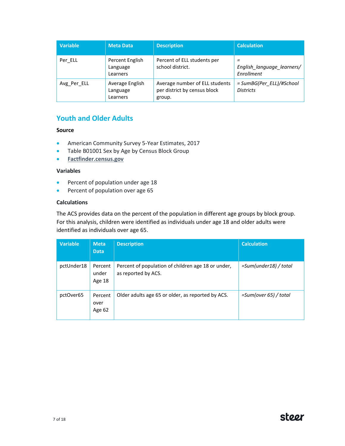| <b>Variable</b> | <b>Meta Data</b>                        | <b>Description</b>                                                       | <b>Calculation</b>                            |
|-----------------|-----------------------------------------|--------------------------------------------------------------------------|-----------------------------------------------|
| Per ELL         | Percent English<br>Language<br>Learners | Percent of ELL students per<br>school district.                          | =<br>English language learners/<br>Enrollment |
| Avg Per ELL     | Average English<br>Language<br>Learners | Average number of ELL students<br>per district by census block<br>group. | = SumBG(Per ELL)/#School<br><b>Districts</b>  |

# **Youth and Older Adults**

## **Source**

- American Community Survey 5-Year Estimates, 2017
- Table B01001 Sex by Age by Census Block Group
- **[Factfinder.census.gov](https://factfinder.census.gov/faces/tableservices/jsf/pages/productview.xhtml?pid=ACS_17_5YR_B03002&prodType=table)**

### **Variables**

- Percent of population under age 18
- Percent of population over age 65

## **Calculations**

The ACS provides data on the percent of the population in different age groups by block group. For this analysis, children were identified as individuals under age 18 and older adults were identified as individuals over age 65.

| <b>Variable</b> | <b>Meta</b><br><b>Data</b> | <b>Description</b>                                                        | <b>Calculation</b>       |
|-----------------|----------------------------|---------------------------------------------------------------------------|--------------------------|
| pctUnder18      | Percent<br>under<br>Age 18 | Percent of population of children age 18 or under,<br>as reported by ACS. | $=Sum(under 18) / total$ |
| pctOver65       | Percent<br>over<br>Age 62  | Older adults age 65 or older, as reported by ACS.                         | $=Sum(over 65) / total$  |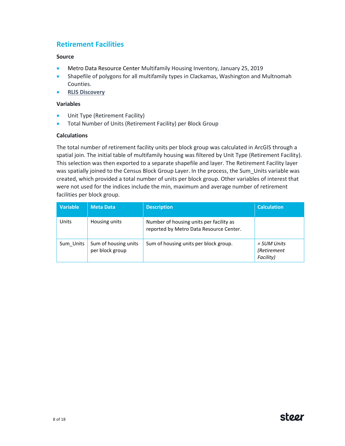# **Retirement Facilities**

### **Source**

- Metro Data Resource Center Multifamily Housing Inventory, January 25, 2019
- Shapefile of polygons for all multifamily types in Clackamas, Washington and Multnomah Counties.
- **[RLIS Discovery](http://rlisdiscovery.oregonmetro.gov/?action=viewDetail&layerID=2364)**

#### **Variables**

- Unit Type (Retirement Facility)
- Total Number of Units (Retirement Facility) per Block Group

### **Calculations**

The total number of retirement facility units per block group was calculated in ArcGIS through a spatial join. The initial table of multifamily housing was filtered by Unit Type (Retirement Facility). This selection was then exported to a separate shapefile and layer. The Retirement Facility layer was spatially joined to the Census Block Group Layer. In the process, the Sum\_Units variable was created, which provided a total number of units per block group. Other variables of interest that were not used for the indices include the min, maximum and average number of retirement facilities per block group.

| <b>Variable</b> | <b>Meta Data</b>                        | <b>Description</b>                                                                 | <b>Calculation</b>                      |
|-----------------|-----------------------------------------|------------------------------------------------------------------------------------|-----------------------------------------|
| Units           | Housing units                           | Number of housing units per facility as<br>reported by Metro Data Resource Center. |                                         |
| Sum Units       | Sum of housing units<br>per block group | Sum of housing units per block group.                                              | = SUM Units<br>(Retirement<br>Facility) |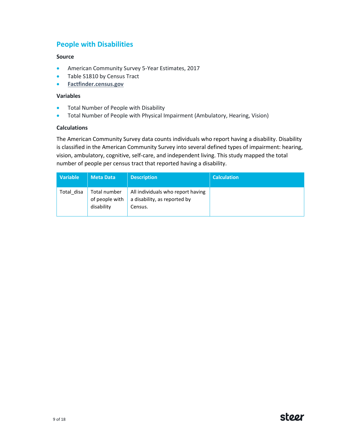# **People with Disabilities**

### **Source**

- American Community Survey 5-Year Estimates, 2017
- Table S1810 by Census Tract
- **[Factfinder.census.gov](https://factfinder.census.gov/faces/tableservices/jsf/pages/productview.xhtml?pid=ACS_17_5YR_B03002&prodType=table)**

#### **Variables**

- Total Number of People with Disability
- Total Number of People with Physical Impairment (Ambulatory, Hearing, Vision)

## **Calculations**

The American Community Survey data counts individuals who report having a disability. Disability is classified in the American Community Survey into several defined types of impairment: hearing, vision, ambulatory, cognitive, self-care, and independent living. This study mapped the total number of people per census tract that reported having a disability.

| <b>Variable</b> | <b>Meta Data</b>                             | <b>Description</b>                                                           | <b>Calculation</b> |
|-----------------|----------------------------------------------|------------------------------------------------------------------------------|--------------------|
| Total disa      | Total number<br>of people with<br>disability | All individuals who report having<br>a disability, as reported by<br>Census. |                    |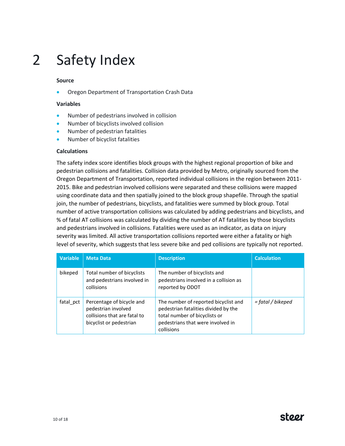# 2 Safety Index

### **Source**

• Oregon Department of Transportation Crash Data

### **Variables**

- Number of pedestrians involved in collision
- Number of bicyclists involved collision
- Number of pedestrian fatalities
- Number of bicyclist fatalities

### **Calculations**

The safety index score identifies block groups with the highest regional proportion of bike and pedestrian collisions and fatalities. Collision data provided by Metro, originally sourced from the Oregon Department of Transportation, reported individual collisions in the region between 2011- 2015. Bike and pedestrian involved collisions were separated and these collisions were mapped using coordinate data and then spatially joined to the block group shapefile. Through the spatial join, the number of pedestrians, bicyclists, and fatalities were summed by block group. Total number of active transportation collisions was calculated by adding pedestrians and bicyclists, and % of fatal AT collisions was calculated by dividing the number of AT fatalities by those bicyclists and pedestrians involved in collisions. Fatalities were used as an indicator, as data on injury severity was limited. All active transportation collisions reported were either a fatality or high level of severity, which suggests that less severe bike and ped collisions are typically not reported.

| <b>Variable</b> | <b>Meta Data</b>                                                                                            | <b>Description</b>                                                                                                                                               | <b>Calculation</b> |
|-----------------|-------------------------------------------------------------------------------------------------------------|------------------------------------------------------------------------------------------------------------------------------------------------------------------|--------------------|
| bikeped         | Total number of bicyclists<br>and pedestrians involved in<br>collisions                                     | The number of bicyclists and<br>pedestrians involved in a collision as<br>reported by ODOT                                                                       |                    |
| fatal pct       | Percentage of bicycle and<br>pedestrian involved<br>collisions that are fatal to<br>bicyclist or pedestrian | The number of reported bicyclist and<br>pedestrian fatalities divided by the<br>total number of bicyclists or<br>pedestrians that were involved in<br>collisions | = fatal / bikeped  |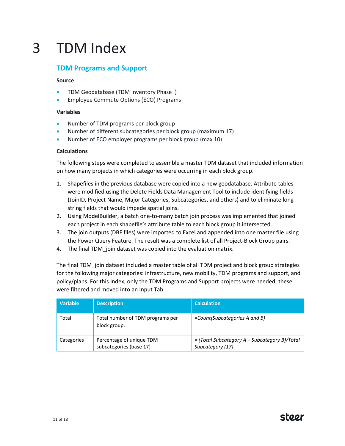# 3 TDM Index

# **TDM Programs and Support**

# **Source**

- TDM Geodatabase (TDM Inventory Phase I)
- Employee Commute Options (ECO) Programs

# **Variables**

- Number of TDM programs per block group
- Number of different subcategories per block group (maximum 17)
- Number of ECO employer programs per block group (max 10)

# **Calculations**

The following steps were completed to assemble a master TDM dataset that included information on how many projects in which categories were occurring in each block group.

- 1. Shapefiles in the previous database were copied into a new geodatabase. Attribute tables were modified using the Delete Fields Data Management Tool to include identifying fields (JoinID, Project Name, Major Categories, Subcategories, and others) and to eliminate long string fields that would impede spatial joins.
- 2. Using ModelBuilder, a batch one-to-many batch join process was implemented that joined each project in each shapefile's attribute table to each block group it intersected.
- 3. The join outputs (DBF files) were imported to Excel and appended into one master file using the Power Query Feature. The result was a complete list of all Project-Block Group pairs.
- 4. The final TDM join dataset was copied into the evaluation matrix.

The final TDM\_join dataset included a master table of all TDM project and block group strategies for the following major categories: infrastructure, new mobility, TDM programs and support, and policy/plans. For this Index, only the TDM Programs and Support projects were needed; these were filtered and moved into an Input Tab.

| <b>Variable</b> | <b>Description</b>                                  | <b>Calculation</b>                                                |
|-----------------|-----------------------------------------------------|-------------------------------------------------------------------|
| Total           | Total number of TDM programs per<br>block group.    | =Count(Subcategories A and B)                                     |
| Categories      | Percentage of unique TDM<br>subcategories (base 17) | = (Total Subcategory A + Subcategory B)/Total<br>Subcategory (17) |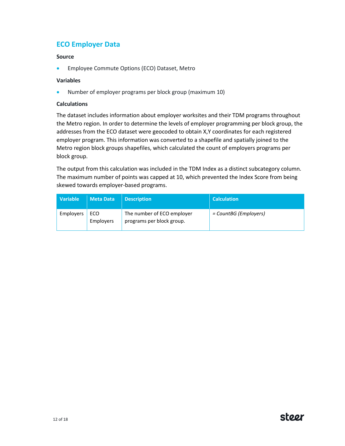# **ECO Employer Data**

# **Source**

• Employee Commute Options (ECO) Dataset, Metro

# **Variables**

• Number of employer programs per block group (maximum 10)

## **Calculations**

The dataset includes information about employer worksites and their TDM programs throughout the Metro region. In order to determine the levels of employer programming per block group, the addresses from the ECO dataset were geocoded to obtain X,Y coordinates for each registered employer program. This information was converted to a shapefile and spatially joined to the Metro region block groups shapefiles, which calculated the count of employers programs per block group.

The output from this calculation was included in the TDM Index as a distinct subcategory column. The maximum number of points was capped at 10, which prevented the Index Score from being skewed towards employer-based programs.

| <b>Variable</b> | <b>Meta Data</b> | <b>Description</b>                                      | <b>Calculation</b>    |
|-----------------|------------------|---------------------------------------------------------|-----------------------|
| Employers       | ECO<br>Employers | The number of ECO employer<br>programs per block group. | = CountBG (Employers) |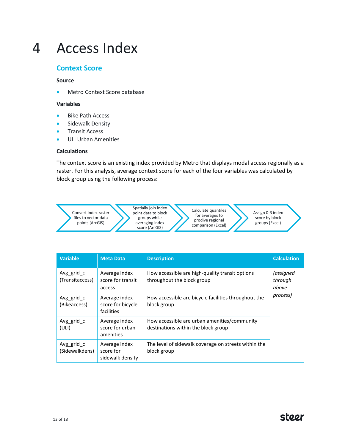# 4 Access Index

# **Context Score**

## **Source**

• Metro Context Score database

### **Variables**

- Bike Path Access
- Sidewalk Density
- Transit Access
- ULI Urban Amenities

## **Calculations**

The context score is an existing index provided by Metro that displays modal access regionally as a raster. For this analysis, average context score for each of the four variables was calculated by block group using the following process:



| <b>Variable</b>               | <b>Meta Data</b>                                 | <b>Description</b>                                                                  | <b>Calculation</b>            |
|-------------------------------|--------------------------------------------------|-------------------------------------------------------------------------------------|-------------------------------|
| Avg grid c<br>(Transitaccess) | Average index<br>score for transit<br>access     | How accessible are high-quality transit options<br>throughout the block group       | (assigned<br>through<br>above |
| Avg grid c<br>(Bikeaccess)    | Average index<br>score for bicycle<br>facilities | How accessible are bicycle facilities throughout the<br>block group                 | process)                      |
| Avg grid c<br>(ULI)           | Average index<br>score for urban<br>amenities    | How accessible are urban amenities/community<br>destinations within the block group |                               |
| Avg grid c<br>(Sidewalkdens)  | Average index<br>score for<br>sidewalk density   | The level of sidewalk coverage on streets within the<br>block group                 |                               |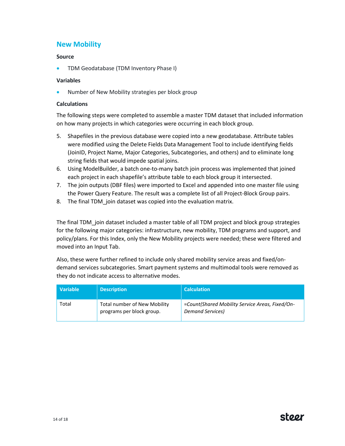# **New Mobility**

# **Source**

• TDM Geodatabase (TDM Inventory Phase I)

# **Variables**

• Number of New Mobility strategies per block group

## **Calculations**

The following steps were completed to assemble a master TDM dataset that included information on how many projects in which categories were occurring in each block group.

- 5. Shapefiles in the previous database were copied into a new geodatabase. Attribute tables were modified using the Delete Fields Data Management Tool to include identifying fields (JoinID, Project Name, Major Categories, Subcategories, and others) and to eliminate long string fields that would impede spatial joins.
- 6. Using ModelBuilder, a batch one-to-many batch join process was implemented that joined each project in each shapefile's attribute table to each block group it intersected.
- 7. The join outputs (DBF files) were imported to Excel and appended into one master file using the Power Query Feature. The result was a complete list of all Project-Block Group pairs.
- 8. The final TDM join dataset was copied into the evaluation matrix.

The final TDM\_join dataset included a master table of all TDM project and block group strategies for the following major categories: infrastructure, new mobility, TDM programs and support, and policy/plans. For this Index, only the New Mobility projects were needed; these were filtered and moved into an Input Tab.

Also, these were further refined to include only shared mobility service areas and fixed/ondemand services subcategories. Smart payment systems and multimodal tools were removed as they do not indicate access to alternative modes.

| Variable | <b>Description</b>                                               | <b>Calculation</b>                                                  |
|----------|------------------------------------------------------------------|---------------------------------------------------------------------|
| Total    | <b>Total number of New Mobility</b><br>programs per block group. | =Count(Shared Mobility Service Areas, Fixed/On-<br>Demand Services) |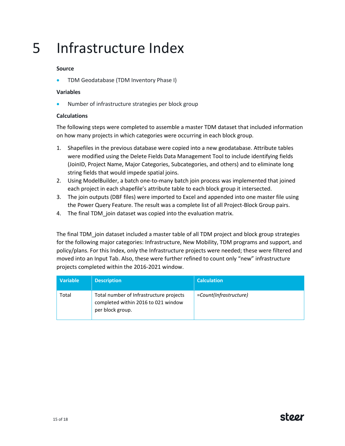# 5 Infrastructure Index

# **Source**

• TDM Geodatabase (TDM Inventory Phase I)

### **Variables**

• Number of infrastructure strategies per block group

## **Calculations**

The following steps were completed to assemble a master TDM dataset that included information on how many projects in which categories were occurring in each block group.

- 1. Shapefiles in the previous database were copied into a new geodatabase. Attribute tables were modified using the Delete Fields Data Management Tool to include identifying fields (JoinID, Project Name, Major Categories, Subcategories, and others) and to eliminate long string fields that would impede spatial joins.
- 2. Using ModelBuilder, a batch one-to-many batch join process was implemented that joined each project in each shapefile's attribute table to each block group it intersected.
- 3. The join outputs (DBF files) were imported to Excel and appended into one master file using the Power Query Feature. The result was a complete list of all Project-Block Group pairs.
- 4. The final TDM join dataset was copied into the evaluation matrix.

The final TDM\_join dataset included a master table of all TDM project and block group strategies for the following major categories: Infrastructure, New Mobility, TDM programs and support, and policy/plans. For this Index, only the Infrastructure projects were needed; these were filtered and moved into an Input Tab. Also, these were further refined to count only "new" infrastructure projects completed within the 2016-2021 window.

| <b>Variable</b> | <b>Description</b>                                                                                 | <b>Calculation</b>     |
|-----------------|----------------------------------------------------------------------------------------------------|------------------------|
| Total           | Total number of Infrastructure projects<br>completed within 2016 to 021 window<br>per block group. | =Count(Infrastructure) |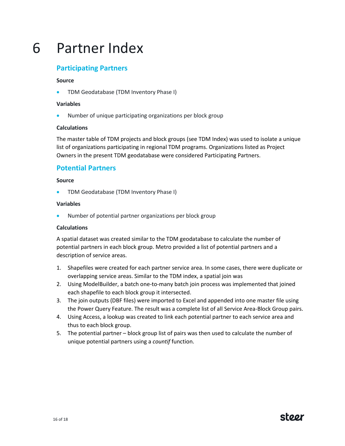# 6 Partner Index

# **Participating Partners**

### **Source**

• TDM Geodatabase (TDM Inventory Phase I)

### **Variables**

• Number of unique participating organizations per block group

## **Calculations**

The master table of TDM projects and block groups (see TDM Index) was used to isolate a unique list of organizations participating in regional TDM programs. Organizations listed as Project Owners in the present TDM geodatabase were considered Participating Partners.

# **Potential Partners**

### **Source**

• TDM Geodatabase (TDM Inventory Phase I)

### **Variables**

• Number of potential partner organizations per block group

## **Calculations**

A spatial dataset was created similar to the TDM geodatabase to calculate the number of potential partners in each block group. Metro provided a list of potential partners and a description of service areas.

- 1. Shapefiles were created for each partner service area. In some cases, there were duplicate or overlapping service areas. Similar to the TDM index, a spatial join was
- 2. Using ModelBuilder, a batch one-to-many batch join process was implemented that joined each shapefile to each block group it intersected.
- 3. The join outputs (DBF files) were imported to Excel and appended into one master file using the Power Query Feature. The result was a complete list of all Service Area-Block Group pairs.
- 4. Using Access, a lookup was created to link each potential partner to each service area and thus to each block group.
- 5. The potential partner block group list of pairs was then used to calculate the number of unique potential partners using a *countif* function.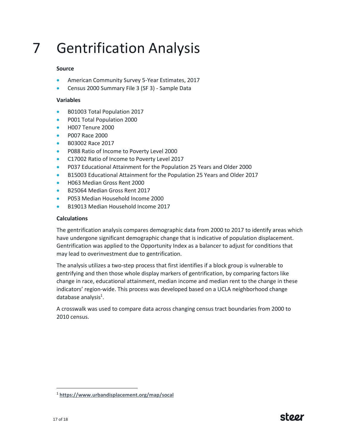# 7 Gentrification Analysis

# **Source**

- American Community Survey 5-Year Estimates, 2017
- Census 2000 Summary File 3 (SF 3) Sample Data

# **Variables**

- B01003 Total Population 2017
- P001 Total Population 2000
- H007 Tenure 2000
- P007 Race 2000
- B03002 Race 2017
- P088 Ratio of Income to Poverty Level 2000
- C17002 Ratio of Income to Poverty Level 2017
- P037 Educational Attainment for the Population 25 Years and Older 2000
- B15003 Educational Attainment for the Population 25 Years and Older 2017
- H063 Median Gross Rent 2000
- B25064 Median Gross Rent 2017
- P053 Median Household Income 2000
- B19013 Median Household Income 2017

## **Calculations**

The gentrification analysis compares demographic data from 2000 to 2017 to identify areas which have undergone significant demographic change that is indicative of population displacement. Gentrification was applied to the Opportunity Index as a balancer to adjust for conditions that may lead to overinvestment due to gentrification.

The analysis utilizes a two-step process that first identifies if a block group is vulnerable to gentrifying and then those whole display markers of gentrification, by comparing factors like change in race, educational attainment, median income and median rent to the change in these indicators' region-wide. This process was developed based on a UCLA neighborhood change database analysis<sup>1</sup>.

A crosswalk was used to compare data across changing census tract boundaries from 2000 to 2010 census.

 $\overline{a}$ 

<sup>1</sup> **<https://www.urbandisplacement.org/map/socal>**